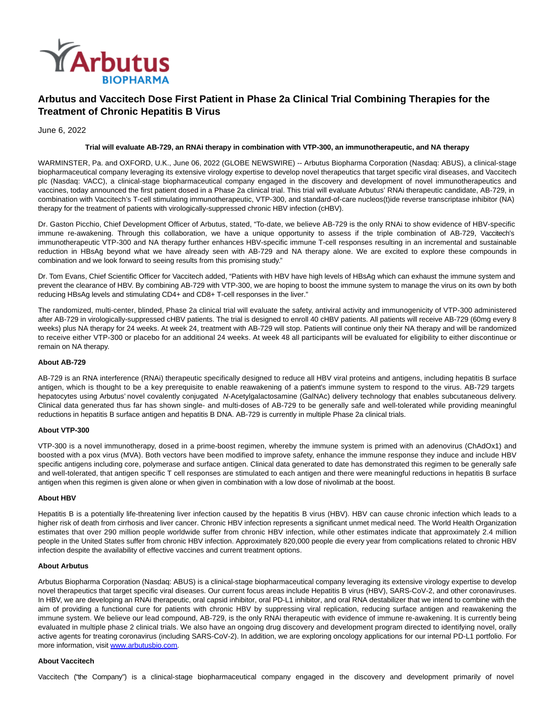

# **Arbutus and Vaccitech Dose First Patient in Phase 2a Clinical Trial Combining Therapies for the Treatment of Chronic Hepatitis B Virus**

June 6, 2022

# **Trial will evaluate AB-729, an RNAi therapy in combination with VTP-300, an immunotherapeutic, and NA therapy**

WARMINSTER, Pa. and OXFORD, U.K., June 06, 2022 (GLOBE NEWSWIRE) -- Arbutus Biopharma Corporation (Nasdaq: ABUS), a clinical-stage biopharmaceutical company leveraging its extensive virology expertise to develop novel therapeutics that target specific viral diseases, and Vaccitech plc (Nasdaq: VACC), a clinical-stage biopharmaceutical company engaged in the discovery and development of novel immunotherapeutics and vaccines, today announced the first patient dosed in a Phase 2a clinical trial. This trial will evaluate Arbutus' RNAi therapeutic candidate, AB-729, in combination with Vaccitech's T-cell stimulating immunotherapeutic, VTP-300, and standard-of-care nucleos(t)ide reverse transcriptase inhibitor (NA) therapy for the treatment of patients with virologically-suppressed chronic HBV infection (cHBV).

Dr. Gaston Picchio, Chief Development Officer of Arbutus, stated, "To-date, we believe AB-729 is the only RNAi to show evidence of HBV-specific immune re-awakening. Through this collaboration, we have a unique opportunity to assess if the triple combination of AB-729, Vaccitech's immunotherapeutic VTP-300 and NA therapy further enhances HBV-specific immune T-cell responses resulting in an incremental and sustainable reduction in HBsAg beyond what we have already seen with AB-729 and NA therapy alone. We are excited to explore these compounds in combination and we look forward to seeing results from this promising study."

Dr. Tom Evans, Chief Scientific Officer for Vaccitech added, "Patients with HBV have high levels of HBsAg which can exhaust the immune system and prevent the clearance of HBV. By combining AB-729 with VTP-300, we are hoping to boost the immune system to manage the virus on its own by both reducing HBsAg levels and stimulating CD4+ and CD8+ T-cell responses in the liver."

The randomized, multi-center, blinded, Phase 2a clinical trial will evaluate the safety, antiviral activity and immunogenicity of VTP-300 administered after AB-729 in virologically-suppressed cHBV patients. The trial is designed to enroll 40 cHBV patients. All patients will receive AB-729 (60mg every 8 weeks) plus NA therapy for 24 weeks. At week 24, treatment with AB-729 will stop. Patients will continue only their NA therapy and will be randomized to receive either VTP-300 or placebo for an additional 24 weeks. At week 48 all participants will be evaluated for eligibility to either discontinue or remain on NA therapy.

# **About AB-729**

AB-729 is an RNA interference (RNAi) therapeutic specifically designed to reduce all HBV viral proteins and antigens, including hepatitis B surface antigen, which is thought to be a key prerequisite to enable reawakening of a patient's immune system to respond to the virus. AB-729 targets hepatocytes using Arbutus' novel covalently conjugated N-Acetylgalactosamine (GalNAc) delivery technology that enables subcutaneous delivery. Clinical data generated thus far has shown single- and multi-doses of AB-729 to be generally safe and well-tolerated while providing meaningful reductions in hepatitis B surface antigen and hepatitis B DNA. AB-729 is currently in multiple Phase 2a clinical trials.

### **About VTP-300**

VTP-300 is a novel immunotherapy, dosed in a prime-boost regimen, whereby the immune system is primed with an adenovirus (ChAdOx1) and boosted with a pox virus (MVA). Both vectors have been modified to improve safety, enhance the immune response they induce and include HBV specific antigens including core, polymerase and surface antigen. Clinical data generated to date has demonstrated this regimen to be generally safe and well-tolerated, that antigen specific T cell responses are stimulated to each antigen and there were meaningful reductions in hepatitis B surface antigen when this regimen is given alone or when given in combination with a low dose of nivolimab at the boost.

## **About HBV**

Hepatitis B is a potentially life-threatening liver infection caused by the hepatitis B virus (HBV). HBV can cause chronic infection which leads to a higher risk of death from cirrhosis and liver cancer. Chronic HBV infection represents a significant unmet medical need. The World Health Organization estimates that over 290 million people worldwide suffer from chronic HBV infection, while other estimates indicate that approximately 2.4 million people in the United States suffer from chronic HBV infection. Approximately 820,000 people die every year from complications related to chronic HBV infection despite the availability of effective vaccines and current treatment options.

## **About Arbutus**

Arbutus Biopharma Corporation (Nasdaq: ABUS) is a clinical-stage biopharmaceutical company leveraging its extensive virology expertise to develop novel therapeutics that target specific viral diseases. Our current focus areas include Hepatitis B virus (HBV), SARS-CoV-2, and other coronaviruses. In HBV, we are developing an RNAi therapeutic, oral capsid inhibitor, oral PD-L1 inhibitor, and oral RNA destabilizer that we intend to combine with the aim of providing a functional cure for patients with chronic HBV by suppressing viral replication, reducing surface antigen and reawakening the immune system. We believe our lead compound, AB-729, is the only RNAi therapeutic with evidence of immune re-awakening. It is currently being evaluated in multiple phase 2 clinical trials. We also have an ongoing drug discovery and development program directed to identifying novel, orally active agents for treating coronavirus (including SARS-CoV-2). In addition, we are exploring oncology applications for our internal PD-L1 portfolio. For more information, visit [www.arbutusbio.com.](https://www.globenewswire.com/Tracker?data=-5lylZ6nqJbbJRFhnobG_vNI6OPAE7Nuxm_mA3J7K6yfm6zYN7ON4jtpqvWEklpeK1c7EqlRPgfXNvXW5hBct2Isr51CuIUEycKVTaUalSk=)

## **About Vaccitech**

Vaccitech ("the Company") is a clinical-stage biopharmaceutical company engaged in the discovery and development primarily of novel